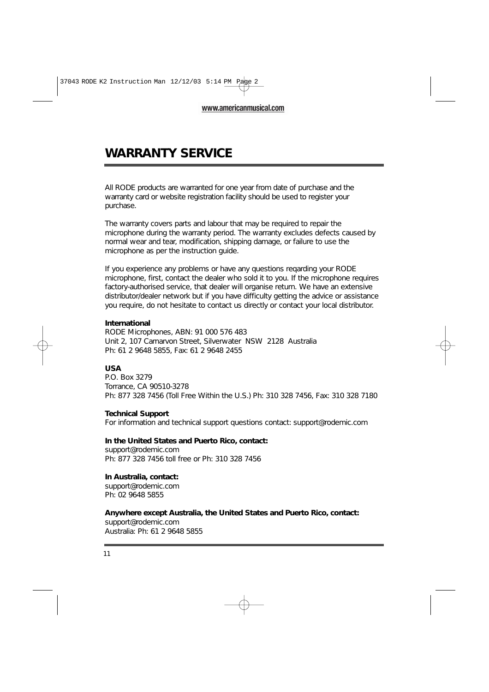### **WARRANTY SERVICE**

All RODE products are warranted for one year from date of purchase and the warranty card or website registration facility should be used to register your purchase.

The warranty covers parts and labour that may be required to repair the microphone during the warranty period. The warranty excludes defects caused by normal wear and tear, modification, shipping damage, or failure to use the microphone as per the instruction guide.

If you experience any problems or have any questions reqarding your RODE microphone, first, contact the dealer who sold it to you. If the microphone requires factory-authorised service, that dealer will organise return. We have an extensive distributor/dealer network but if you have difficulty getting the advice or assistance you require, do not hesitate to contact us directly or contact your local distributor.

#### **International**

RODE Microphones, ABN: 91 000 576 483 Unit 2, 107 Carnarvon Street, Silverwater NSW 2128 Australia Ph: 61 2 9648 5855, Fax: 61 2 9648 2455

### **USA**

P.O. Box 3279 Torrance, CA 90510-3278 Ph: 877 328 7456 (Toll Free Within the U.S.) Ph: 310 328 7456, Fax: 310 328 7180

#### **Technical Support**

For information and technical support questions contact: support@rodemic.com

#### **In the United States and Puerto Rico, contact:**

support@rodemic.com Ph: 877 328 7456 toll free or Ph: 310 328 7456

#### **In Australia, contact:**

support@rodemic.com Ph: 02 9648 5855

### **Anywhere except Australia, the United States and Puerto Rico, contact:**

support@rodemic.com Australia: Ph: 61 2 9648 5855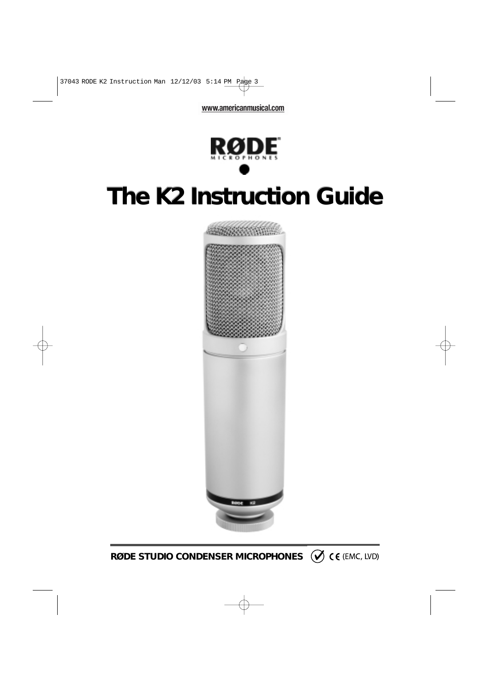

# **The K2 Instruction Guide**



**RØDE STUDIO CONDENSER MICROPHONES**  $\emptyset$  **CE (EMC, LVD)**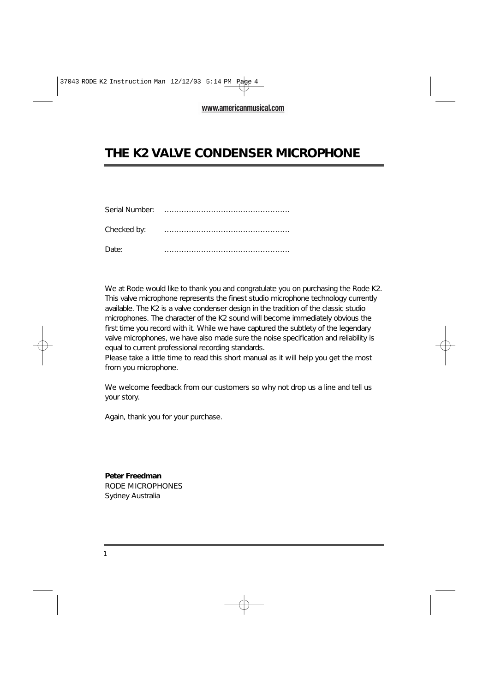### **THE K2 VALVE CONDENSER MICROPHONE**

| Serial Number: |  |
|----------------|--|
| Checked by:    |  |
| Date:          |  |

We at Rode would like to thank you and congratulate you on purchasing the Rode K2. This valve microphone represents the finest studio microphone technology currently available. The K2 is a valve condenser design in the tradition of the classic studio microphones. The character of the K2 sound will become immediately obvious the first time you record with it. While we have captured the subtlety of the legendary valve microphones, we have also made sure the noise specification and reliability is equal to current professional recording standards.

Please take a little time to read this short manual as it will help you get the most from you microphone.

We welcome feedback from our customers so why not drop us a line and tell us your story.

Again, thank you for your purchase.

**Peter Freedman** RODE MICROPHONES Sydney Australia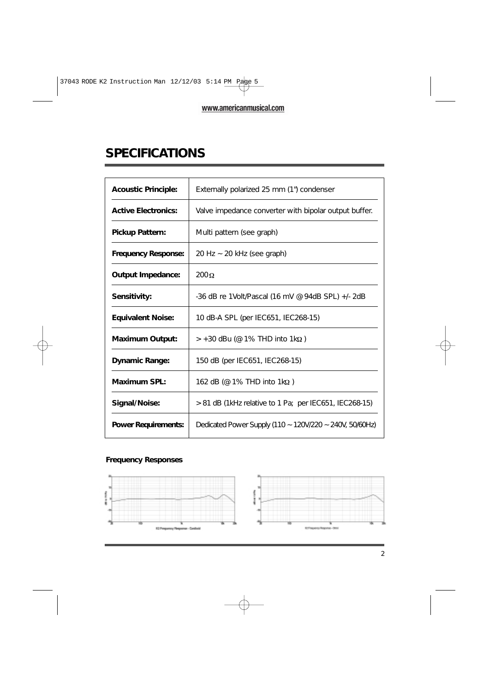# **SPECIFICATIONS**

| <b>Acoustic Principle:</b> | Externally polarized 25 mm (1") condenser               |
|----------------------------|---------------------------------------------------------|
| <b>Active Electronics:</b> | Valve impedance converter with bipolar output buffer.   |
| <b>Pickup Pattern:</b>     | Multi pattern (see graph)                               |
| <b>Frequency Response:</b> | $20$ Hz $\sim$ 20 kHz (see graph)                       |
| <b>Output Impedance:</b>   | $200\Omega$                                             |
| Sensitivity:               | $-36$ dB re 1Volt/Pascal (16 mV @ 94dB SPL) $+/-2$ dB   |
| <b>Equivalent Noise:</b>   | 10 dB-A SPL (per IEC651, IEC268-15)                     |
| <b>Maximum Output:</b>     | $> +30$ dBu (@ 1% THD into 1kΩ)                         |
| <b>Dynamic Range:</b>      | 150 dB (per IEC651, IEC268-15)                          |
| Maximum SPL:               | 162 dB (@ 1% THD into $1k\Omega$ )                      |
| Signal/Noise:              | > 81 dB (1kHz relative to 1 Pa; per IEC651, IEC268-15)  |
| <b>Power Requirements:</b> | Dedicated Power Supply (110 ~ 120V/220 ~ 240V, 50/60Hz) |

### **Frequency Responses**

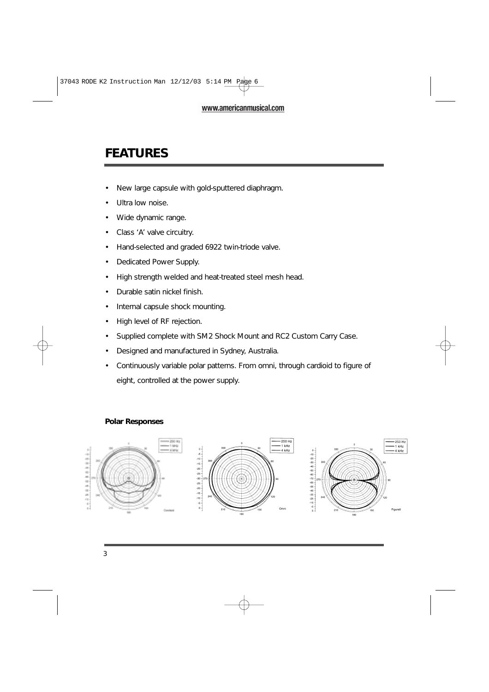# **FEATURES**

- New large capsule with gold-sputtered diaphragm.
- Ultra low noise.
- Wide dynamic range.
- Class 'A' valve circuitry.
- Hand-selected and graded 6922 twin-triode valve.
- Dedicated Power Supply.
- High strength welded and heat-treated steel mesh head.
- Durable satin nickel finish.
- Internal capsule shock mounting.
- High level of RF rejection.
- Supplied complete with SM2 Shock Mount and RC2 Custom Carry Case.
- Designed and manufactured in Sydney, Australia.
- Continuously variable polar patterns. From omni, through cardioid to figure of eight, controlled at the power supply.

### **Polar Responses**

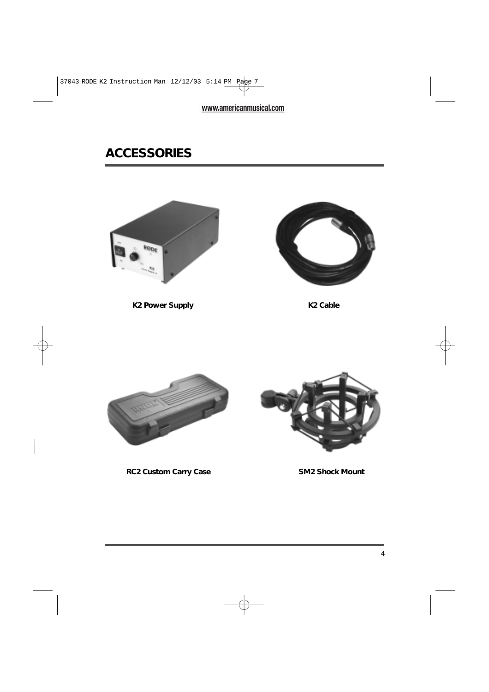# **ACCESSORIES**



**K2 Power Supply**



**K2 Cable**





**RC2 Custom Carry Case SM2 Shock Mount**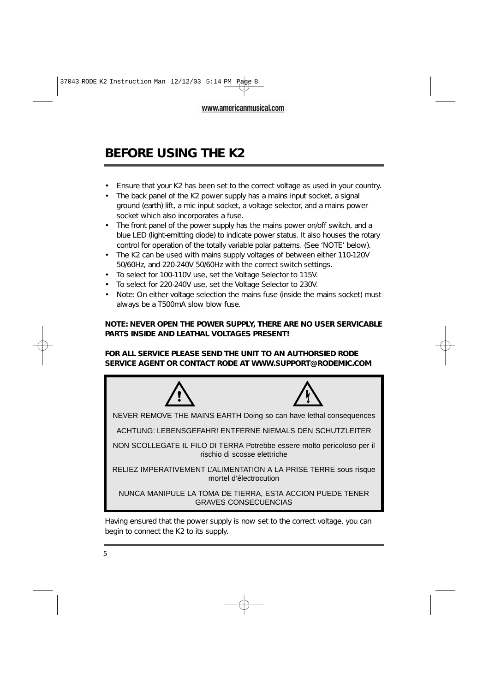# **BEFORE USING THE K2**

- Ensure that your K2 has been set to the correct voltage as used in your country.
- The back panel of the K2 power supply has a mains input socket, a signal ground (earth) lift, a mic input socket, a voltage selector, and a mains power socket which also incorporates a fuse.
- The front panel of the power supply has the mains power on/off switch, and a blue LED (light-emitting diode) to indicate power status. It also houses the rotary control for operation of the totally variable polar patterns. (See 'NOTE' below).
- The K2 can be used with mains supply voltages of between either 110-120V 50/60Hz, and 220-240V 50/60Hz with the correct switch settings.
- To select for 100-110V use, set the Voltage Selector to 115V.
- To select for 220-240V use, set the Voltage Selector to 230V.
- Note: On either voltage selection the mains fuse (inside the mains socket) must always be a T500mA slow blow fuse.

### **NOTE: NEVER OPEN THE POWER SUPPLY, THERE ARE NO USER SERVICABLE PARTS INSIDE AND LEATHAL VOLTAGES PRESENT!**

### **FOR ALL SERVICE PLEASE SEND THE UNIT TO AN AUTHORSIED RODE SERVICE AGENT OR CONTACT RODE AT WWW.SUPPORT@RODEMIC.COM**



Having ensured that the power supply is now set to the correct voltage, you can begin to connect the K2 to its supply.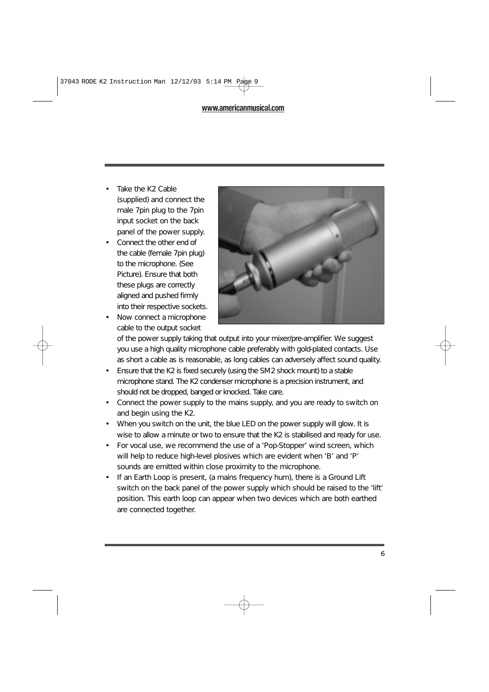- Take the K2 Cable (supplied) and connect the male 7pin plug to the 7pin input socket on the back panel of the power supply.
- Connect the other end of the cable (female 7pin plug) to the microphone. (See Picture). Ensure that both these plugs are correctly aligned and pushed firmly into their respective sockets.
- Now connect a microphone cable to the output socket



of the power supply taking that output into your mixer/pre-amplifier. We suggest you use a high quality microphone cable preferably with gold-plated contacts. Use as short a cable as is reasonable, as long cables can adversely affect sound quality.

- Ensure that the K2 is fixed securely (using the SM2 shock mount) to a stable microphone stand. The K2 condenser microphone is a precision instrument, and should not be dropped, banged or knocked. Take care.
- Connect the power supply to the mains supply, and you are ready to switch on and begin using the K2.
- When you switch on the unit, the blue LED on the power supply will glow. It is wise to allow a minute or two to ensure that the K2 is stabilised and ready for use.
- For vocal use, we recommend the use of a 'Pop-Stopper' wind screen, which will help to reduce high-level plosives which are evident when 'B' and 'P' sounds are emitted within close proximity to the microphone.
- If an Earth Loop is present, (a mains frequency hum), there is a Ground Lift switch on the back panel of the power supply which should be raised to the 'lift' position. This earth loop can appear when two devices which are both earthed are connected together.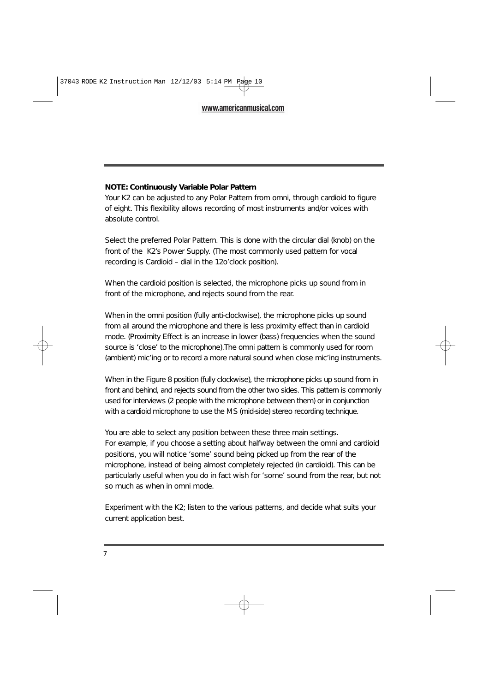### **NOTE: Continuously Variable Polar Pattern**

Your K2 can be adjusted to any Polar Pattern from omni, through cardioid to figure of eight. This flexibility allows recording of most instruments and/or voices with absolute control.

Select the preferred Polar Pattern. This is done with the circular dial (knob) on the front of the K2's Power Supply. (The most commonly used pattern for vocal recording is Cardioid – dial in the 12o'clock position).

When the cardioid position is selected, the microphone picks up sound from in front of the microphone, and rejects sound from the rear.

When in the omni position (fully anti-clockwise), the microphone picks up sound from all around the microphone and there is less proximity effect than in cardioid mode. (Proximity Effect is an increase in lower (bass) frequencies when the sound source is 'close' to the microphone).The omni pattern is commonly used for room (ambient) mic'ing or to record a more natural sound when close mic'ing instruments.

When in the Figure 8 position (fully clockwise), the microphone picks up sound from in front and behind, and rejects sound from the other two sides. This pattern is commonly used for interviews (2 people with the microphone between them) or in conjunction with a cardioid microphone to use the MS (mid-side) stereo recording technique.

You are able to select any position between these three main settings. For example, if you choose a setting about halfway between the omni and cardioid positions, you will notice 'some' sound being picked up from the rear of the microphone, instead of being almost completely rejected (in cardioid). This can be particularly useful when you do in fact wish for 'some' sound from the rear, but not so much as when in omni mode.

Experiment with the K2; listen to the various patterns, and decide what suits your current application best.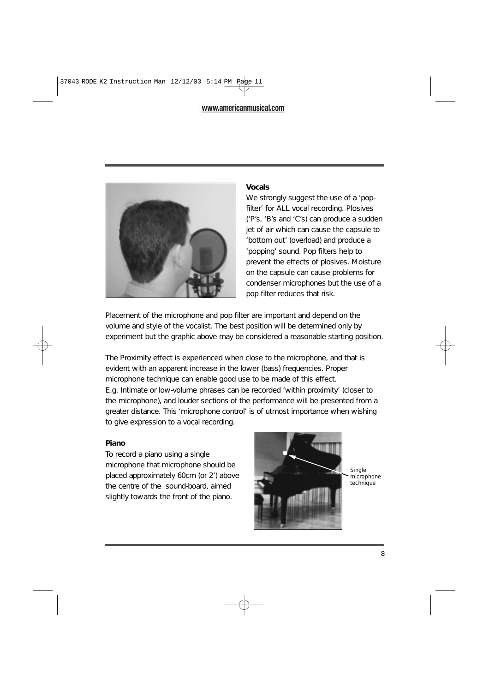

### **Vocals**

We strongly suggest the use of a 'popfilter' for ALL vocal recording. Plosives ('P's, 'B's and 'C's) can produce a sudden jet of air which can cause the capsule to 'bottom out' (overload) and produce a 'popping' sound. Pop filters help to prevent the effects of plosives. Moisture on the capsule can cause problems for condenser microphones but the use of a pop filter reduces that risk.

Placement of the microphone and pop filter are important and depend on the volume and style of the vocalist. The best position will be determined only by experiment but the graphic above may be considered a reasonable starting position.

The Proximity effect is experienced when close to the microphone, and that is evident with an apparent increase in the lower (bass) frequencies. Proper microphone technique can enable good use to be made of this effect. E.g. Intimate or low-volume phrases can be recorded 'within proximity' (closer to the microphone), and louder sections of the performance will be presented from a greater distance. This 'microphone control' is of utmost importance when wishing to give expression to a vocal recording.

### **Piano**

To record a piano using a single microphone that microphone should be placed approximately 60cm (or 2') above the centre of the sound-board, aimed slightly towards the front of the piano.



*Single microphone technique*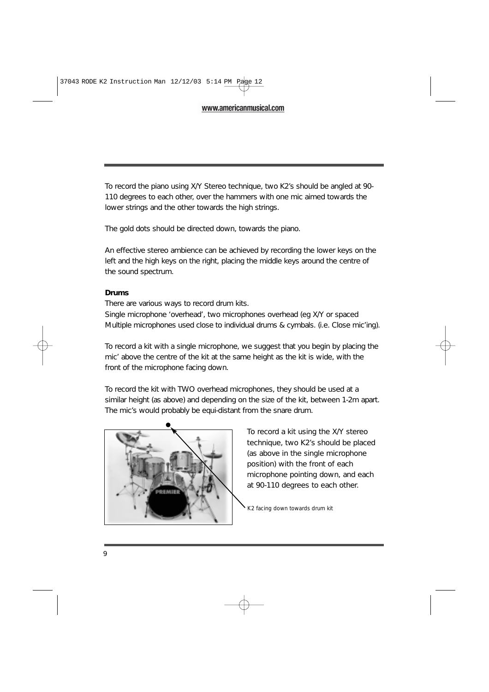To record the piano using X/Y Stereo technique, two K2's should be angled at 90- 110 degrees to each other, over the hammers with one mic aimed towards the lower strings and the other towards the high strings.

The gold dots should be directed down, towards the piano.

An effective stereo ambience can be achieved by recording the lower keys on the left and the high keys on the right, placing the middle keys around the centre of the sound spectrum.

#### **Drums**

There are various ways to record drum kits.

Single microphone 'overhead', two microphones overhead (eg X/Y or spaced Multiple microphones used close to individual drums & cymbals. (i.e. Close mic'ing).

To record a kit with a single microphone, we suggest that you begin by placing the mic' above the centre of the kit at the same height as the kit is wide, with the front of the microphone facing down.

To record the kit with TWO overhead microphones, they should be used at a similar height (as above) and depending on the size of the kit, between 1-2m apart. The mic's would probably be equi-distant from the snare drum.



To record a kit using the X/Y stereo technique, two K2's should be placed (as above in the single microphone position) with the front of each microphone pointing down, and each at 90-110 degrees to each other.

*K2 facing down towards drum kit*